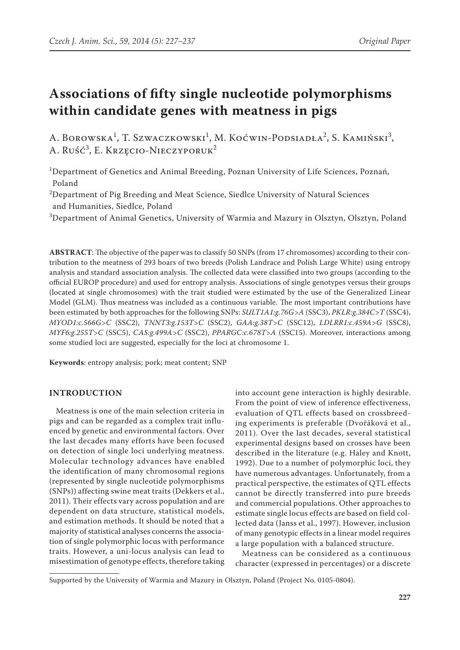# **Associations of fifty single nucleotide polymorphisms within candidate genes with meatness in pigs**

A. Borowska<sup>1</sup>, T. Szwaczkowski<sup>1</sup>, M. Koćwin-Podsiadła<sup>2</sup>, S. Kamiński<sup>3</sup>, A. Ruść<sup>3</sup>, E. Krzęcio-Nieczyporuk<sup>2</sup>

1 Department of Genetics and Animal Breeding, Poznan University of Life Sciences, Poznań, Poland

 $^{2}$ Department of Pig Breeding and Meat Science, Siedlce University of Natural Sciences and Humanities, Siedlce, Poland

 $^3$ Department of Animal Genetics, University of Warmia and Mazury in Olsztyn, Olsztyn, Poland

**ABSTRACT**: The objective of the paper was to classify 50 SNPs (from 17 chromosomes) according to their contribution to the meatness of 293 boars of two breeds (Polish Landrace and Polish Large White) using entropy analysis and standard association analysis. The collected data were classified into two groups (according to the official EUROP procedure) and used for entropy analysis. Associations of single genotypes versus their groups (located at single chromosomes) with the trait studied were estimated by the use of the Generalized Linear Model (GLM). Thus meatness was included as a continuous variable. The most important contributions have been estimated by both approaches for the following SNPs: *SULT1A1:g.76G>A* (SSC3), *PKLR:g.384C>T* (SSC4), *MYOD1:c.566G>C* (SSC2), *TNNT3:g.153T>C* (SSC2), *GAA:g.38T>C* (SSC12), *LDLRR1:c.459A>G* (SSC8), *MYF6:g.255T>C* (SSC5), *CAS:g.499A>C* (SSC2), *PPARGC:c.678T>A* (SSC15). Moreover, interactions among some studied loci are suggested, especially for the loci at chromosome 1.

**Keywords**: entropy analysis; pork; meat content; SNP

## **INTRODUCTION**

Meatness is one of the main selection criteria in pigs and can be regarded as a complex trait influenced by genetic and environmental factors. Over the last decades many efforts have been focused on detection of single loci underlying meatness. Molecular technology advances have enabled the identification of many chromosomal regions (represented by single nucleotide polymorphisms (SNPs)) affecting swine meat traits (Dekkers et al., 2011). Their effects vary across population and are dependent on data structure, statistical models, and estimation methods. It should be noted that a majority of statistical analyses concerns the association of single polymorphic locus with performance traits. However, a uni-locus analysis can lead to misestimation of genotype effects, therefore taking

into account gene interaction is highly desirable. From the point of view of inference effectiveness, evaluation of QTL effects based on crossbreeding experiments is preferable (Dvořáková et al., 2011). Over the last decades, several statistical experimental designs based on crosses have been described in the literature (e.g. Haley and Knott, 1992). Due to a number of polymorphic loci, they have numerous advantages. Unfortunately, from a practical perspective, the estimates of QTL effects cannot be directly transferred into pure breeds and commercial populations. Other approaches to estimate single locus effects are based on field collected data (Janss et al., 1997). However, inclusion of many genotypic effects in a linear model requires a large population with a balanced structure.

Meatness can be considered as a continuous character (expressed in percentages) or a discrete

Supported by the University of Warmia and Mazury in Olsztyn, Poland (Project No. 0105-0804).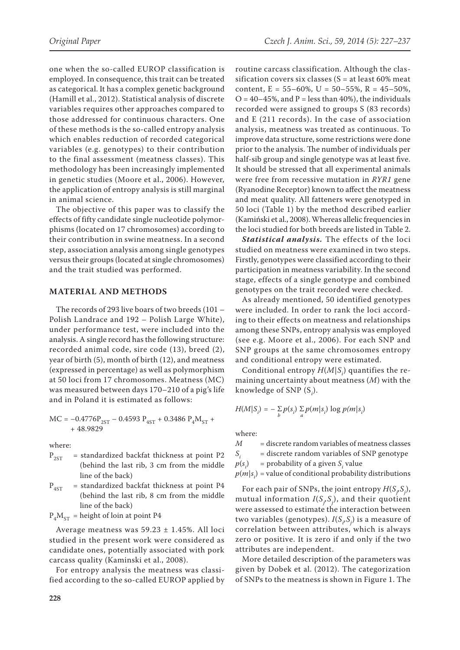one when the so-called EUROP classification is employed. In consequence, this trait can be treated as categorical. It has a complex genetic background (Hamill et al., 2012). Statistical analysis of discrete variables requires other approaches compared to those addressed for continuous characters. One of these methods is the so-called entropy analysis which enables reduction of recorded categorical variables (e.g. genotypes) to their contribution to the final assessment (meatness classes). This methodology has been increasingly implemented in genetic studies (Moore et al., 2006). However, the application of entropy analysis is still marginal in animal science.

The objective of this paper was to classify the effects of fifty candidate single nucleotide polymorphisms (located on 17 chromosomes) according to their contribution in swine meatness. In a second step, association analysis among single genotypes versus their groups (located at single chromosomes) and the trait studied was performed.

## **MATERIAL AND METHODS**

The records of 293 live boars of two breeds (101 – Polish Landrace and 192 – Polish Large White), under performance test, were included into the analysis. A single record has the following structure: recorded animal code, sire code (13), breed (2), year of birth (5), month of birth (12), and meatness (expressed in percentage) as well as polymorphism at 50 loci from 17 chromosomes. Meatness (MC) was measured between days 170–210 of a pig's life and in Poland it is estimated as follows:

$$
\begin{aligned} \text{MC} = -0.4776 \text{P}_{\text{2ST}} - 0.4593 \text{ P}_{\text{4ST}} + 0.3486 \text{ P}_4 \text{M}_{\text{ST}} + \\ + 48.9829 \end{aligned}
$$

where:

- $P_{2ST}$  = standardized backfat thickness at point P2 (behind the last rib, 3 cm from the middle line of the back)
- $P_{4ST}$  = standardized backfat thickness at point P4 (behind the last rib, 8 cm from the middle line of the back)

 $P_4M_{ST}$  = height of loin at point P4

Average meatness was 59.23 ± 1.45%. All loci studied in the present work were considered as candidate ones, potentially associated with pork carcass quality (Kaminski et al., 2008).

For entropy analysis the meatness was classified according to the so-called EUROP applied by

routine carcass classification. Although the classification covers six classes ( $S = at least 60\%$  meat content,  $E = 55-60\%$ ,  $U = 50-55\%$ ,  $R = 45-50\%$ ,  $Q = 40-45$ %, and  $P =$  less than 40%), the individuals recorded were assigned to groups S (83 records) and E (211 records). In the case of association analysis, meatness was treated as continuous. To improve data structure, some restrictions were done prior to the analysis. The number of individuals per half-sib group and single genotype was at least five. It should be stressed that all experimental animals were free from recessive mutation in *RYR1* gene (Ryanodine Receptor) known to affect the meatness and meat quality. All fatteners were genotyped in 50 loci (Table 1) by the method described earlier (Kamiński et al., 2008). Whereas allelic frequencies in the loci studied for both breeds are listed in Table 2.

*Statistical analysis.* The effects of the loci studied on meatness were examined in two steps. Firstly, genotypes were classified according to their participation in meatness variability. In the second stage, effects of a single genotype and combined genotypes on the trait recorded were checked.

As already mentioned, 50 identified genotypes were included. In order to rank the loci according to their effects on meatness and relationships among these SNPs, entropy analysis was employed (see e.g. Moore et al., 2006). For each SNP and SNP groups at the same chromosomes entropy and conditional entropy were estimated.

Conditional entropy  $H(M|S_i)$  quantifies the remaining uncertainty about meatness (*M*) with the knowledge of SNP (S*<sup>i</sup>* ).

$$
H(M|S_i) = -\sum_{b} p(s_i) \sum_{a} p(m|s_i) \log p(m|s_i)
$$

where:

*M* = discrete random variables of meatness classes

*Si* = discrete random variables of SNP genotype

```
p(s_i)\beta = probability of a given S_i value
```
 $p(m|s_i)$  = value of conditional probability distributions

For each pair of SNPs, the joint entropy  $H(S_j, S_j)$ , mutual information  $I(S_j, S_j)$ , and their quotient were assessed to estimate the interaction between two variables (genotypes).  $I(S_i, S_j)$  is a measure of correlation between attributes, which is always zero or positive. It is zero if and only if the two attributes are independent.

More detailed description of the parameters was given by Dobek et al. (2012). The categorization of SNPs to the meatness is shown in Figure 1. The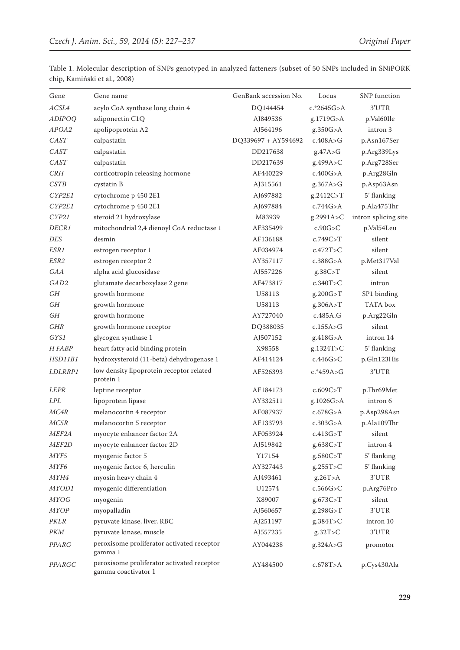| Gene               | Gene name                                                         | GenBank accession No. | Locus          | <b>SNP</b> function  |
|--------------------|-------------------------------------------------------------------|-----------------------|----------------|----------------------|
| ACSL4              | acylo CoA synthase long chain 4                                   | DQ144454              | $c.*2645G > A$ | 3'UTR                |
| <b>ADIPOQ</b>      | adiponectin C1Q                                                   | AJ849536              | g.1719G>A      | p.Val60Ile           |
| APOA2              | apolipoprotein A2                                                 | AJ564196              | g.350G > A     | intron 3             |
| CAST               | calpastatin                                                       | DQ339697 + AY594692   | c.408A > G     | p.Asn167Ser          |
| CAST               | calpastatin                                                       | DD217638              | g.47A > G      | p.Arg339Lys          |
| CAST               | calpastatin                                                       | DD217639              | g.499A>C       | p.Arg728Ser          |
| CRH                | corticotropin releasing hormone                                   | AF440229              | c.400G > A     | p.Arg28Gln           |
| <b>CSTB</b>        | cystatin B                                                        | AJ315561              | g.367A > G     | p.Asp63Asn           |
| CYP2E1             | cytochrome p 450 2E1                                              | AJ697882              | g.2412C>T      | 5' flanking          |
| CYP2E1             | cytochrome p 450 2E1                                              | AJ697884              | c.744G > A     | p.Ala475Thr          |
| CYP21              | steroid 21 hydroxylase                                            | M83939                | g.2991A>C      | intron splicing site |
| <i>DECR1</i>       | mitochondrial 2,4 dienoyl CoA reductase 1                         | AF335499              | c.90G > C      | p.Val54Leu           |
| DES                | desmin                                                            | AF136188              | c.749C > T     | silent               |
| ESR1               | estrogen receptor 1                                               | AF034974              | c.472T>C       | silent               |
| ESR2               | estrogen receptor 2                                               | AY357117              | c.388G > A     | p.Met317Val          |
| <b>GAA</b>         | alpha acid glucosidase                                            | AJ557226              | g.38C > T      | silent               |
| GAD2               | glutamate decarboxylase 2 gene                                    | AF473817              | c.340T>C       | intron               |
| GH                 | growth hormone                                                    | U58113                | g.200G > T     | SP1 binding          |
| GH                 | growth hormone                                                    | U58113                | g.306A > T     | TATA box             |
| GH                 | growth hormone                                                    | AY727040              | c.485A.G       | p.Arg22Gln           |
| <b>GHR</b>         | growth hormone receptor                                           | DQ388035              | c.155A > G     | silent               |
| GYS1               | glycogen synthase 1                                               | AJ507152              | g.418G > A     | intron 14            |
| H FABP             | heart fatty acid binding protein                                  | X98558                | g.1324T>C      | 5' flanking          |
| HSD11B1            | hydroxysteroid (11-beta) dehydrogenase 1                          | AF414124              | c.446G>C       | p.Gln123His          |
| LDLRRP1            | low density lipoprotein receptor related<br>protein 1             | AF526393              | c.*459A>G      | 3'UTR                |
| <b>LEPR</b>        | leptine receptor                                                  | AF184173              | c.609C > T     | p.Thr69Met           |
| <b>LPL</b>         | lipoprotein lipase                                                | AY332511              | g.1026G>A      | intron 6             |
| MC4R               | melanocortin 4 receptor                                           | AF087937              | c.678G > A     | p.Asp298Asn          |
| MC5R               | melanocortin 5 receptor                                           | AF133793              | c.303G > A     | p.Ala109Thr          |
| MEF <sub>2A</sub>  | myocyte enhancer factor 2A                                        | AF053924              | c.413G > T     | silent               |
| MEF <sub>2</sub> D | myocyte enhancer factor 2D                                        | AJ519842              | g.638C>T       | intron 4             |
| MYF5               | myogenic factor 5                                                 | Y17154                | g.580C>T       | 5' flanking          |
| MYF6               | myogenic factor 6, herculin                                       | AY327443              | g.255T>C       | 5' flanking          |
| <i>MYH4</i>        | myosin heavy chain 4                                              | AJ493461              | g.26T > A      | 3'UTR                |
| MYOD1              | myogenic differentiation                                          | U12574                | $c.566G$ >C    | p.Arg76Pro           |
| <b>MYOG</b>        | myogenin                                                          | X89007                | g.673C>T       | silent               |
| <b>MYOP</b>        | myopalladin                                                       | AJ560657              | g.298G>T       | 3'UTR                |
| PKLR               | pyruvate kinase, liver, RBC                                       | AJ251197              | g.384T>C       | intron 10            |
| $\mathcal{PKM}$    | pyruvate kinase, muscle                                           | AJ557235              | g.32T>C        | $3' \mathrm{UTR}$    |
| PPARG              | peroxisome proliferator activated receptor<br>gamma 1             | AY044238              | g.324A>G       | promotor             |
| PPARGC             | peroxisome proliferator activated receptor<br>gamma coactivator 1 | AY484500              | c.678T > A     | p.Cys430Ala          |

Table 1. Molecular description of SNPs genotyped in analyzed fatteners (subset of 50 SNPs included in SNiPORK chip, Kamiński et al., 2008)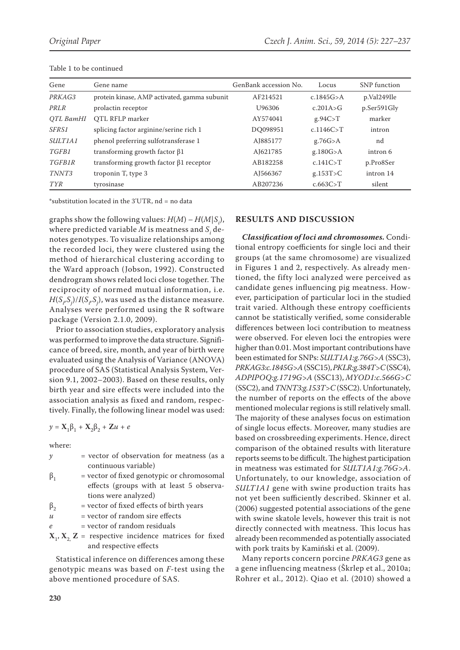| Gene           | Gene name                                     | GenBank accession No. | Locus       | <b>SNP</b> function |
|----------------|-----------------------------------------------|-----------------------|-------------|---------------------|
| PRKAG3         | protein kinase, AMP activated, gamma subunit  | AF214521              | c.1845G > A | p.Val249Ile         |
| PRLR           | prolactin receptor                            | U96306                | c.201A > G  | p.Ser591Gly         |
| OTL BamHI      | OTL RFLP marker                               | AY574041              | g.94C > T   | marker              |
| SFRS1          | splicing factor arginine/serine rich 1        | DO098951              | c.1146C > T | intron              |
| <i>SULT1A1</i> | phenol preferring sulfotransferase 1          | AJ885177              | g.76G > A   | nd                  |
| TGFB1          | transforming growth factor $\beta$ 1          | AJ621785              | g.180G > A  | intron 6            |
| TGFB1R         | transforming growth factor $\beta$ 1 receptor | AB182258              | c.141C > T  | p.Pro8Ser           |
| TNNT3          | troponin T, type 3                            | AJ566367              | g.153T>C    | intron 14           |
| <b>TYR</b>     | tyrosinase                                    | AB207236              | c.663C > T  | silent              |

Table 1 to be continued

\*substitution located in the 3'UTR, nd = no data

graphs show the following values:  $H(M) - H(M|S_i)$ , where predicted variable  $M$  is meatness and  $\mathcal{S}^{}_{i}$  denotes genotypes. To visualize relationships among the recorded loci, they were clustered using the method of hierarchical clustering according to the Ward approach (Jobson, 1992). Constructed dendrogram shows related loci close together. The reciprocity of normed mutual information, i.e.  $H(S_i S_j)/I(S_i S_j)$ , was used as the distance measure. Analyses were performed using the R software package (Version 2.1.0, 2009).

Prior to association studies, exploratory analysis was performed to improve the data structure. Significance of breed, sire, month, and year of birth were evaluated using the Analysis of Variance (ANOVA) procedure of SAS (Statistical Analysis System, Version 9.1, 2002–2003). Based on these results, only birth year and sire effects were included into the association analysis as fixed and random, respectively. Finally, the following linear model was used:

$$
y = \mathbf{X}_1 \boldsymbol{\beta}_1 + \mathbf{X}_2 \boldsymbol{\beta}_2 + \mathbf{Z} u + e
$$

where:

| y                          | = vector of observation for meatness (as a              |
|----------------------------|---------------------------------------------------------|
|                            | continuous variable)                                    |
| $\beta_{1}$                | = vector of fixed genotypic or chromosomal              |
|                            | effects (groups with at least 5 observa-                |
|                            | tions were analyzed)                                    |
| $\beta_{2}$                | = vector of fixed effects of birth years                |
| $\boldsymbol{\mathcal{U}}$ | = vector of random sire effects                         |
| $\epsilon$                 | $=$ vector of random residuals                          |
|                            | $X_1, X_2, Z$ = respective incidence matrices for fixed |
|                            | and respective effects                                  |
|                            |                                                         |

Statistical inference on differences among these genotypic means was based on *F*-test using the above mentioned procedure of SAS.

## **RESULTS AND DISCUSSION**

*Classification of loci and chromosomes.* Conditional entropy coefficients for single loci and their groups (at the same chromosome) are visualized in Figures 1 and 2, respectively. As already mentioned, the fifty loci analyzed were perceived as candidate genes influencing pig meatness. However, participation of particular loci in the studied trait varied. Although these entropy coefficients cannot be statistically verified, some considerable differences between loci contribution to meatness were observed. For eleven loci the entropies were higher than 0.01. Most important contributions have been estimated for SNPs: *SULT1A1:g.76G>A* (SSC3), *PRKAG3:c.1845G>A* (SSC15), *PKLR:g.384T>C* (SSC4), *ADPIPOQ:g.1719G>A* (SSC13), *MYOD1:c.566G>C* (SSC2), and *TNNT3:g.153T>C* (SSC2). Unfortunately, the number of reports on the effects of the above mentioned molecular regions is still relatively small. The majority of these analyses focus on estimation of single locus effects. Moreover, many studies are based on crossbreeding experiments. Hence, direct comparison of the obtained results with literature reports seems to be difficult. The highest participation in meatness was estimated for *SULT1A1:g.76G>A*. Unfortunately, to our knowledge, association of *SULT1A1* gene with swine production traits has not yet been sufficiently described. Skinner et al. (2006) suggested potential associations of the gene with swine skatole levels, however this trait is not directly connected with meatness. This locus has already been recommended as potentially associated with pork traits by Kamiński et al. (2009).

Many reports concern porcine *PRKAG3* gene as a gene influencing meatness (Škrlep et al., 2010a; Rohrer et al., 2012). Qiao et al. (2010) showed a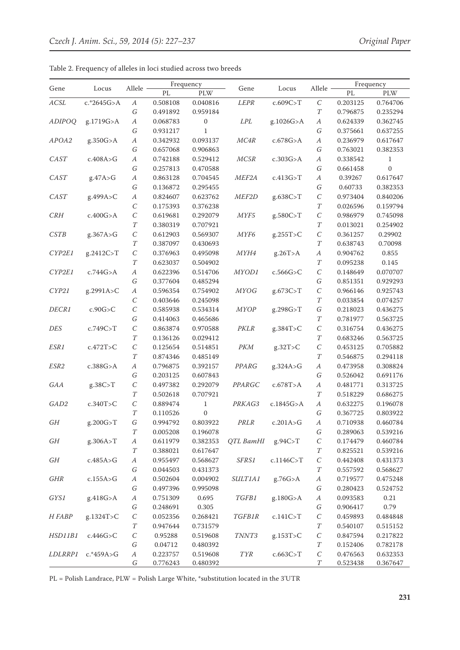|                  | Locus       | Allele           | Frequency |                  |                            |             |                  |          | Frequency    |
|------------------|-------------|------------------|-----------|------------------|----------------------------|-------------|------------------|----------|--------------|
| Gene             |             |                  | PL        | <b>PLW</b>       | Gene                       | Locus       | Allele           | PL       | $\rm PLW$    |
| ACSL             | c.*2645G>A  | $\boldsymbol{A}$ | 0.508108  | 0.040816         | <b>LEPR</b>                | c.609C > T  | $\cal C$         | 0.203125 | 0.764706     |
|                  |             | G                | 0.491892  | 0.959184         |                            |             | T                | 0.796875 | 0.235294     |
| <b>ADIPOQ</b>    | g.1719G>A   | $\boldsymbol{A}$ | 0.068783  | $\boldsymbol{0}$ | <b>LPL</b>                 | g.1026G>A   | $\boldsymbol{A}$ | 0.624339 | 0.362745     |
|                  |             | G                | 0.931217  | $\mathbf{1}$     |                            |             | G                | 0.375661 | 0.637255     |
| APOA2            | g.350G>A    | $\boldsymbol{A}$ | 0.342932  | 0.093137         | MC4R                       | c.678G > A  | $\boldsymbol{A}$ | 0.236979 | 0.617647     |
|                  |             | G                | 0.657068  | 0.906863         |                            |             | G                | 0.763021 | 0.382353     |
| CAST             | c.408A > G  | $\boldsymbol{A}$ | 0.742188  | 0.529412         | MC5R                       | c.303G > A  | $\boldsymbol{A}$ | 0.338542 | $\mathbf{1}$ |
|                  |             | G                | 0.257813  | 0.470588         |                            |             | G                | 0.661458 | $\mathbf{0}$ |
| CAST             | g.47A > G   | $\boldsymbol{A}$ | 0.863128  | 0.704545         | MEF <sub>2A</sub>          | c.413G > T  | $\boldsymbol{A}$ | 0.39267  | 0.617647     |
|                  |             | G                | 0.136872  | 0.295455         |                            |             | G                | 0.60733  | 0.382353     |
| CAST             | g.499A>C    | $\boldsymbol{A}$ | 0.824607  | 0.623762         | MEF <sub>2</sub> D         | g.638C>T    | $\cal C$         | 0.973404 | 0.840206     |
|                  |             | $\cal C$         | 0.175393  | 0.376238         |                            |             | $\cal T$         | 0.026596 | 0.159794     |
| CRH              | c.400G > A  | $\cal C$         | 0.619681  | 0.292079         | $MYF5$                     | g.580C>T    | $\cal C$         | 0.986979 | 0.745098     |
|                  |             | $\cal T$         | 0.380319  | 0.707921         |                            |             | $\cal T$         | 0.013021 | 0.254902     |
| <i>CSTB</i>      | g.367A > G  | $\cal C$         | 0.612903  | 0.569307         | MYF <sub>6</sub>           | g.255T>C    | $\cal C$         | 0.361257 | 0.29902      |
|                  |             | $\cal T$         | 0.387097  | 0.430693         |                            |             | $\cal T$         | 0.638743 | 0.70098      |
| CYP2E1           | g.2412C>T   | $\cal C$         | 0.376963  | 0.495098         | <i>MYH4</i>                | g.26T > A   | $\boldsymbol{A}$ | 0.904762 | 0.855        |
|                  |             | $\cal T$         | 0.623037  | 0.504902         |                            |             | $\cal T$         | 0.095238 | 0.145        |
| CYP2E1           | c.744G > A  | $\boldsymbol{A}$ | 0.622396  | 0.514706         | MYOD1                      | $c.566G$ >C | $\cal C$         | 0.148649 | 0.070707     |
|                  |             | G                | 0.377604  | 0.485294         |                            |             | $\cal G$         | 0.851351 | 0.929293     |
| CYP21            | g.2991A>C   | $\boldsymbol{A}$ | 0.596354  | 0.754902         | <b>MYOG</b>                | g.673C>T    | $\cal C$         | 0.966146 | 0.925743     |
|                  |             | $\cal C$         | 0.403646  | 0.245098         |                            |             | $\cal T$         | 0.033854 | 0.074257     |
| DECR1            | c.90G > C   | $\cal C$         | 0.585938  | 0.534314         | <b>MYOP</b>                | g.298G>T    | G                | 0.218023 | 0.436275     |
|                  |             | G                | 0.414063  | 0.465686         |                            |             | $\cal T$         | 0.781977 | 0.563725     |
| DES              | c.749C > T  | $\cal C$         | 0.863874  | 0.970588         | PKLR                       | g.384T>C    | $\cal C$         | 0.316754 | 0.436275     |
|                  |             | $\cal T$         | 0.136126  | 0.029412         |                            |             | $\cal T$         | 0.683246 | 0.563725     |
| ESR1             | c.472T > C  | $\cal C$         | 0.125654  | 0.514851         | PKM                        | g.32T > C   | $\cal C$         | 0.453125 | 0.705882     |
|                  |             | $\cal T$         | 0.874346  | 0.485149         |                            |             | $\cal T$         | 0.546875 | 0.294118     |
| ESR2             | c.388G > A  | $\boldsymbol{A}$ | 0.796875  | 0.392157         | PPARG                      | g.324A>G    | $\boldsymbol{A}$ | 0.473958 | 0.308824     |
|                  |             | G                | 0.203125  | 0.607843         |                            |             | $\cal G$         | 0.526042 | 0.691176     |
| GAA              | g.38C > T   | $\cal C$         | 0.497382  | 0.292079         | PPARGC                     | c.678T>A    | $\boldsymbol{A}$ | 0.481771 | 0.313725     |
|                  |             | $\cal T$         | 0.502618  | 0.707921         |                            |             | $\cal T$         | 0.518229 | 0.686275     |
| GAD <sub>2</sub> | c.340T > C  | $\cal C$         | 0.889474  | $\mathbf 1$      | PRKAG3                     | c.1845G>A   | $\boldsymbol{A}$ | 0.632275 | 0.196078     |
|                  |             | $\cal T$         | 0.110526  | $\boldsymbol{0}$ |                            |             | G                | 0.367725 | 0.803922     |
| GH               | g.200G>T    | G                | 0.994792  | 0.803922         | PRLR                       | c.201A > G  | А                | 0.710938 | 0.460784     |
|                  |             | T                | 0.005208  | 0.196078         |                            |             | G                | 0.289063 | 0.539216     |
| GH               | g.306A>T    | $\boldsymbol{A}$ | 0.611979  | 0.382353         | QTL BamHI                  | g.94C > T   | $\cal C$         | 0.174479 | 0.460784     |
|                  |             | $\cal T$         | 0.388021  | 0.617647         |                            |             | $\cal T$         | 0.825521 | 0.539216     |
| GH               | c.485A>G    | $\boldsymbol{A}$ | 0.955497  | 0.568627         | SFRS1                      | c.1146C > T | $\cal C$         | 0.442408 | 0.431373     |
|                  |             | G                | 0.044503  | 0.431373         |                            |             | $\cal T$         | 0.557592 | 0.568627     |
| GHR              | c.155A > G  | $\boldsymbol{A}$ | 0.502604  | 0.004902         | <i>SULT1A1</i>             | g.76G > A   | $\boldsymbol{A}$ | 0.719577 | 0.475248     |
|                  |             | $\cal G$         | 0.497396  | 0.995098         |                            |             | $\cal G$         | 0.280423 | 0.524752     |
| GYS1             | g.418G>A    | $\boldsymbol{A}$ | 0.751309  | 0.695            | TGFB1                      | g.180G > A  | $\boldsymbol{A}$ | 0.093583 | 0.21         |
|                  |             | $\cal G$         | 0.248691  | 0.305            |                            |             | $\cal G$         | 0.906417 | 0.79         |
| H FABP           | g.1324T>C   | $\cal C$         | 0.052356  | 0.268421         | <b>TGFB1R</b>              | c.141C > T  | $\cal C$         | 0.459893 | 0.484848     |
|                  |             | $\cal T$         | 0.947644  | 0.731579         |                            |             | $\cal T$         | 0.540107 | 0.515152     |
| HSD11B1          | c.446G > C  | $\cal C$         | 0.95288   | 0.519608         | TNNT3                      | g.153T>C    | $\cal C$         | 0.847594 | 0.217822     |
|                  |             | $\cal G$         | 0.04712   | 0.480392         |                            |             | $\cal T$         | 0.152406 | 0.782178     |
| <i>LDLRRP1</i>   | $c.*459A>G$ | $\boldsymbol{A}$ | 0.223757  | 0.519608         | ${\cal T}{\cal Y}{\cal R}$ | c.663C > T  | $\cal C$         | 0.476563 | 0.632353     |
|                  |             | G                | 0.776243  | 0.480392         |                            |             | $\boldsymbol{T}$ | 0.523438 | 0.367647     |

Table 2. Frequency of alleles in loci studied across two breeds

PL = Polish Landrace, PLW = Polish Large White, \*substitution located in the 3'UTR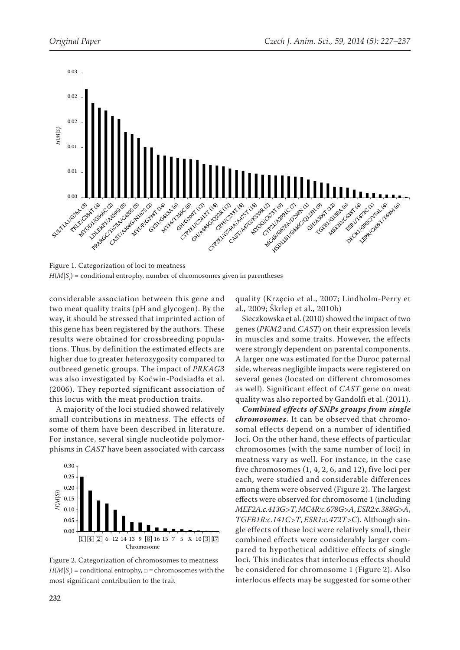

Figure 1. Categorization of loci to meatness  $H(M|{\mathcal S}_i)$  = conditional entrophy, number of chromosomes given in parentheses

considerable association between this gene and two meat quality traits (pH and glycogen). By the way, it should be stressed that imprinted action of this gene has been registered by the authors. These results were obtained for crossbreeding populations. Thus, by definition the estimated effects are higher due to greater heterozygosity compared to outbreed genetic groups. The impact of *PRKAG3* was also investigated by Koćwin-Podsiadła et al. (2006). They reported significant association of this locus with the meat production traits.

A majority of the loci studied showed relatively small contributions in meatness. The effects of some of them have been described in literature. For instance, several single nucleotide polymorphisms in *CAST* have been associated with carcass



Figure 2. Categorization of chromosomes to meatness  $H(M|S_i)$  = conditional entrophy,  $\Box$  = chromosomes with the most significant contribution to the trait

quality (Krzęcio et al., 2007; Lindholm-Perry et al., 2009; Škrlep et al., 2010b)

Sieczkowska et al. (2010) showed the impact of two genes (*PKM2* and *CAST*) on their expression levels in muscles and some traits. However, the effects were strongly dependent on parental components. A larger one was estimated for the Duroc paternal side, whereas negligible impacts were registered on several genes (located on different chromosomes as well). Significant effect of *CAST* gene on meat quality was also reported by Gandolfi et al. (2011).

*Combined effects of SNPs groups from single chromosomes.* It can be observed that chromosomal effects depend on a number of identified loci. On the other hand, these effects of particular chromosomes (with the same number of loci) in meatness vary as well. For instance, in the case five chromosomes (1, 4, 2, 6, and 12), five loci per each, were studied and considerable differences among them were observed (Figure 2). The largest effects were observed for chromosome 1 (including *MEF2A:c.413G>T*, *MC4R:c.678G>A*, *ESR2:c.388G>A*, *TGFB1R:c.141C>T*, *ESR1:c.472T>C*). Although single effects of these loci were relatively small, their combined effects were considerably larger compared to hypothetical additive effects of single loci. This indicates that interlocus effects should be considered for chromosome 1 (Figure 2). Also interlocus effects may be suggested for some other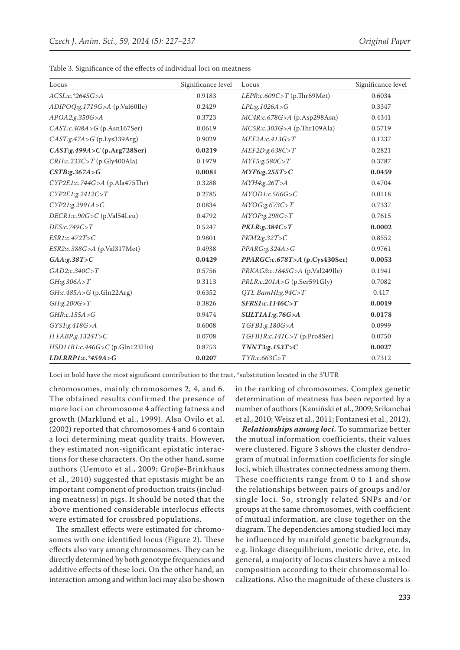| Locus                            | Significance level | Locus                            | Significance level |
|----------------------------------|--------------------|----------------------------------|--------------------|
| $ACSL:c.*2645G>A$                | 0.9183             | LEPR:c.609C>T (p.Thr69Met)       | 0.6034             |
| ADIPOQ:g.1719G>A (p.Val60Ile)    | 0.2429             | LPL:g.1026A>G                    | 0.3347             |
| APOA2:g.350G>A                   | 0.3723             | MC4R:c.678G>A (p.Asp298Asn)      | 0.4341             |
| CAST:c.408A > G(p.Asn167Ser)     | 0.0619             | MC5R:c.303G>A (p.Thr109Ala)      | 0.5719             |
| CAST:g.47A > G (p.Lys339Arg)     | 0.9029             | MEF2A:c.413G > T                 | 0.1237             |
| $CAST:g.499A > C$ (p.Arg728Ser)  | 0.0219             | MEF2D:g.638C>T                   | 0.2821             |
| $CRH:c.233C>T$ (p.Gly400Ala)     | 0.1979             | MYF5:g.580C > T                  | 0.3787             |
| CSTB:g.367A > G                  | 0.0081             | MYF6:g.255T>C                    | 0.0459             |
| CYP2E1:c.744G>A (p.Ala475Thr)    | 0.3288             | MYH4:g.26T>A                     | 0.4704             |
| CYP2E1:g.2412C>T                 | 0.2785             | MYOD1:c.566G>C                   | 0.0118             |
| CYP21:g.2991A>C                  | 0.0834             | MYOG:g.673C > T                  | 0.7337             |
| DECR1:c.90G>C (p.Val54Leu)       | 0.4792             | MYOP:g.298G > T                  | 0.7615             |
| DES:c.749C>T                     | 0.5247             | PKLR:g.384C > T                  | 0.0002             |
| ESR1:c.472T>C                    | 0.9801             | PKM2:g.32T>C                     | 0.8552             |
| ESR2:c.388G>A (p.Val317Met)      | 0.4938             | PPARG:g.324A > G                 | 0.9761             |
| GAA:g.38T>C                      | 0.0429             | PPARGC:c.678T>A (p.Cys430Ser)    | 0.0053             |
| GAD2:c.340C > T                  | 0.5756             | PRKAG3:c.1845G>A (p.Val249Ile)   | 0.1941             |
| GH:g.306A > T                    | 0.3113             | $PRLR: c.201A > G$ (p.Ser591Gly) | 0.7082             |
| GH:c.485A>G (p.Gln22Arg)         | 0.6352             | QTL BamHI:g.94 $C > T$           | 0.417              |
| GH:g.200G > T                    | 0.3826             | SFRS1:c.1146C>T                  | 0.0019             |
| GHR:c.155A>G                     | 0.9474             | SULT1A1:g.76G>A                  | 0.0178             |
| GYS1:g.418G > A                  | 0.6008             | TGFB1:g.180G>A                   | 0.0999             |
| H FABP:g.1324T>C                 | 0.0708             | TGFB1R:c.141C>T(p.Pro8Ser)       | 0.0750             |
| $HSD11B1:c.446G>C$ (p.Gln123His) | 0.8753             | TNNT3:g.153T>C                   | 0.0027             |
| $LDLRRP1:c.*459A>G$              | 0.0207             | TYR: c.663C > T                  | 0.7312             |

Table 3. Significance of the effects of individual loci on meatness

Loci in bold have the most significant contribution to the trait, \*substitution located in the 3'UTR

chromosomes, mainly chromosomes 2, 4, and 6. The obtained results confirmed the presence of more loci on chromosome 4 affecting fatness and growth (Marklund et al., 1999). Also Ovilo et al. (2002) reported that chromosomes 4 and 6 contain a loci determining meat quality traits. However, they estimated non-significant epistatic interactions for these characters. On the other hand, some authors (Uemoto et al., 2009; Groβe-Brinkhaus et al., 2010) suggested that epistasis might be an important component of production traits (including meatness) in pigs. It should be noted that the above mentioned considerable interlocus effects were estimated for crossbred populations.

The smallest effects were estimated for chromosomes with one identified locus (Figure 2). These effects also vary among chromosomes. They can be directly determined by both genotype frequencies and additive effects of these loci. On the other hand, an interaction among and within loci may also be shown in the ranking of chromosomes. Complex genetic determination of meatness has been reported by a number of authors (Kamiński et al., 2009; Srikanchai et al., 2010; Weisz et al., 2011; Fontanesi et al., 2012).

*Relationships among loci.* To summarize better the mutual information coefficients, their values were clustered. Figure 3 shows the cluster dendrogram of mutual information coefficients for single loci, which illustrates connectedness among them. These coefficients range from 0 to 1 and show the relationships between pairs of groups and/or single loci. So, strongly related SNPs and/or groups at the same chromosomes, with coefficient of mutual information, are close together on the diagram. The dependencies among studied loci may be influenced by manifold genetic backgrounds, e.g. linkage disequilibrium, meiotic drive, etc. In general, a majority of locus clusters have a mixed composition according to their chromosomal localizations. Also the magnitude of these clusters is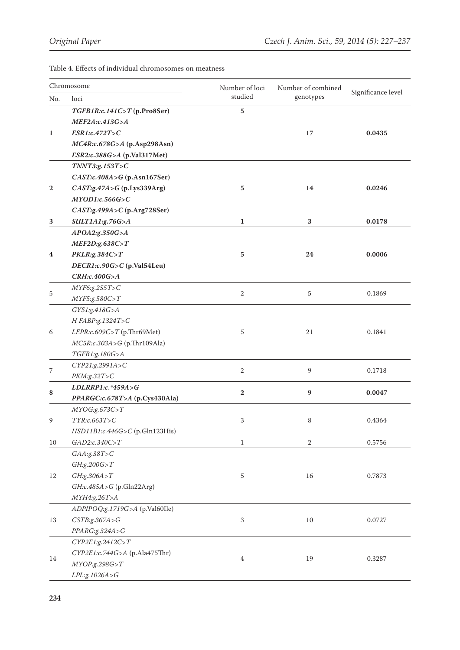Table 4. Effects of individual chromosomes on meatness

| Chromosome   |                                 | Number of loci | Number of combined |                    |  |
|--------------|---------------------------------|----------------|--------------------|--------------------|--|
| No.          | loci                            | studied        | genotypes          | Significance level |  |
|              | TGFB1R:c.141C>T(p.Pro8Ser)      | $\bf 5$        |                    |                    |  |
|              | <i>MEF2A:c.413G&gt;A</i>        |                |                    |                    |  |
| $\mathbf{1}$ | ESR1:c.472T>C                   |                | 17                 | 0.0435             |  |
|              | MC4R:c.678G>A (p.Asp298Asn)     |                |                    |                    |  |
|              | ESR2:c.388G>A (p.Val317Met)     |                |                    |                    |  |
|              | TNNT3:g.153T>C                  |                |                    |                    |  |
|              | CAST:c.408A > G(p.Asn167Ser)    |                |                    |                    |  |
| $\mathbf{2}$ | CAST:g.47A>G(p.Lys339Arg)       | 5              | 14                 | 0.0246             |  |
|              | MYOD1:c.566G>C                  |                |                    |                    |  |
|              | $CAST:g.499A > C$ (p.Arg728Ser) |                |                    |                    |  |
| 3            | SULT1A1:g.76G>A                 | $\mathbf{1}$   | 3                  | 0.0178             |  |
|              | APOA2:g.350G>A                  |                |                    |                    |  |
|              | MEF2D:g.638C > T                |                |                    |                    |  |
| 4            | PKLR:g.384C > T                 | 5              | 24                 | 0.0006             |  |
|              | DECR1:c.90G>C (p.Val54Leu)      |                |                    |                    |  |
|              | CRH:c.400G>A                    |                |                    |                    |  |
| 5            | MYF6:g.255T>C                   | $\mathbf{2}$   | 5                  | 0.1869             |  |
|              | MYF5:g.580C > T                 |                |                    |                    |  |
|              | GYS1:g.418G>A                   |                |                    |                    |  |
|              | H FABP:g.1324T>C                |                |                    |                    |  |
| 6            | LEPR:c.609C>T (p.Thr69Met)      | 5              | 21                 | 0.1841             |  |
|              | MC5R:c.303A>G (p.Thr109Ala)     |                |                    |                    |  |
|              | TGFB1:g.180G>A                  |                |                    |                    |  |
| 7            | CYP21:g.2991A>C                 | $\mathbf{2}$   | 9                  | 0.1718             |  |
|              | PKM:g.32T>C                     |                |                    |                    |  |
| 8            | $LDLRRP1:c.*459A>G$             | $\mathbf{2}$   | 9                  | 0.0047             |  |
|              | PPARGC:c.678T>A (p.Cys430Ala)   |                |                    |                    |  |
|              | MYOG:g.673C > T                 |                |                    |                    |  |
| 9            | TYR: c.663T>C                   | 3              | 8                  | 0.4364             |  |
|              | HSD11B1:c.446G>C (p.Gln123His)  |                |                    |                    |  |
| 10           | GAD2:c.340C> T                  | $\mathbf{1}$   | $\overline{2}$     | 0.5756             |  |
|              | $GAA:g.38T>C$                   |                |                    |                    |  |
|              | GH:g.200G > T                   |                |                    |                    |  |
| 12           | GH:g.306A > T                   | 5              | 16                 | 0.7873             |  |
|              | $GH:c.485A > G$ (p.Gln22Arg)    |                |                    |                    |  |
|              | MYH4:g.26T>A                    |                |                    |                    |  |
|              | ADPIPOQ:g.1719G>A (p.Val60Ile)  |                |                    |                    |  |
| 13           | CSTB:g.367A > G                 | $\,3$          | $10\,$             | 0.0727             |  |
|              | PPARG:g.324A>G                  |                |                    |                    |  |
|              | CYP2E1:g.2412C>T                |                |                    |                    |  |
| 14           | CYP2E1:c.744G>A (p.Ala475Thr)   | 4              | 19                 | 0.3287             |  |
|              | MYOP:g.298G > T                 |                |                    |                    |  |
|              | LPL:g.1026A>G                   |                |                    |                    |  |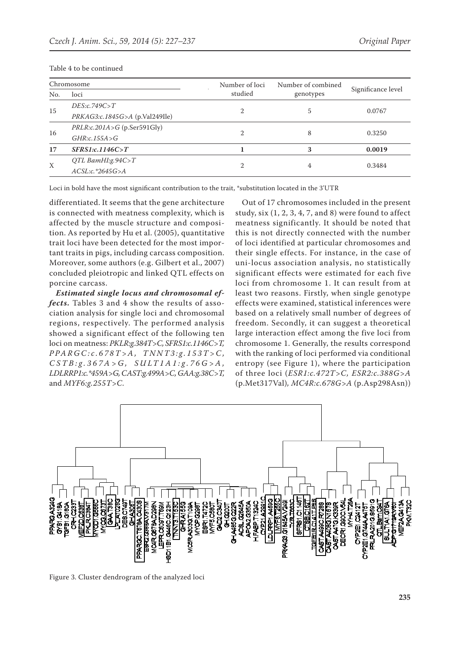| Chromosome       |                                  | Number of loci | Number of combined | Significance level |  |
|------------------|----------------------------------|----------------|--------------------|--------------------|--|
| No.              | loci                             | studied        | genotypes          |                    |  |
| 15               | DES:c.749C > T                   |                |                    | 0.0767             |  |
|                  | $PRKAG3:c.1845G>A$ (p.Val249Ile) | $\overline{2}$ | 5                  |                    |  |
| 16               | $PRLR: c.201A > G$ (p.Ser591Gly) |                |                    | 0.3250             |  |
|                  | GHR: c.155A > G                  | $\overline{2}$ | 8                  |                    |  |
| 17               | SFRS1:c.1146C>T                  |                | 3                  | 0.0019             |  |
| $\boldsymbol{X}$ | QTL BamHI:g.94 $C > T$           |                |                    |                    |  |
|                  | $ACSL:c.*2645G>A$                | $\mathfrak{D}$ | 4                  | 0.3484             |  |

#### Table 4 to be continued

Loci in bold have the most significant contribution to the trait, \*substitution located in the 3'UTR

differentiated. It seems that the gene architecture is connected with meatness complexity, which is affected by the muscle structure and composition. As reported by Hu et al. (2005), quantitative trait loci have been detected for the most important traits in pigs, including carcass composition. Moreover, some authors (e.g. Gilbert et al., 2007) concluded pleiotropic and linked QTL effects on porcine carcass.

*Estimated single locus and chromosomal effects.* Tables 3 and 4 show the results of association analysis for single loci and chromosomal regions, respectively. The performed analysis showed a significant effect of the following ten loci on meatness: *PKLR:g.384T>C, SFRS1:c.1146C>T, P P A R G C : c . 6 7 8 T > A , T N N T 3 : g . 1 5 3 T > C , C S T B : g . 3 6 7 A > G , S U LT 1 A 1 : g . 7 6 G > A , LDLRRP1:c.\*459A>G, CAST:g.499A>C, GAA:g.38C>T,*  and *MYF6:g.255T>C.*

Out of 17 chromosomes included in the present study, six (1, 2, 3, 4, 7, and 8) were found to affect meatness significantly. It should be noted that this is not directly connected with the number of loci identified at particular chromosomes and their single effects. For instance, in the case of uni-locus association analysis, no statistically significant effects were estimated for each five loci from chromosome 1. It can result from at least two reasons. Firstly, when single genotype effects were examined, statistical inferences were based on a relatively small number of degrees of freedom. Secondly, it can suggest a theoretical large interaction effect among the five loci from chromosome 1. Generally, the results correspond with the ranking of loci performed via conditional entropy (see Figure 1), where the participation of three loci (*ESR1:c.472T>C, ESR2:c.388G>A*  (p.Met317Val)*, MC4R:c.678G>A* (p.Asp298Asn))



Figure 3. Cluster dendrogram of the analyzed loci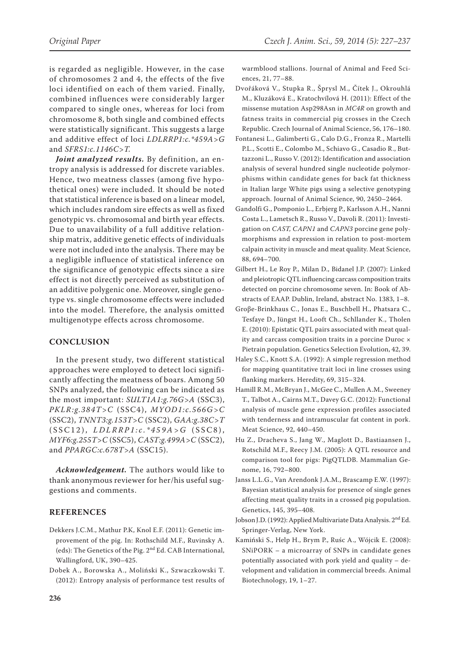is regarded as negligible. However, in the case of chromosomes 2 and 4, the effects of the five loci identified on each of them varied. Finally, combined influences were considerably larger compared to single ones, whereas for loci from chromosome 8, both single and combined effects were statistically significant. This suggests a large and additive effect of loci *LDLRRP1:c.\*459A>G* and *SFRS1:c.1146C>T.*

*Joint analyzed results.* By definition, an entropy analysis is addressed for discrete variables. Hence, two meatness classes (among five hypothetical ones) were included. It should be noted that statistical inference is based on a linear model, which includes random sire effects as well as fixed genotypic vs. chromosomal and birth year effects. Due to unavailability of a full additive relationship matrix, additive genetic effects of individuals were not included into the analysis. There may be a negligible influence of statistical inference on the significance of genotypic effects since a sire effect is not directly perceived as substitution of an additive polygenic one. Moreover, single genotype vs. single chromosome effects were included into the model. Therefore, the analysis omitted multigenotype effects across chromosome.

## **CONCLUSION**

In the present study, two different statistical approaches were employed to detect loci significantly affecting the meatness of boars. Among 50 SNPs analyzed, the following can be indicated as the most important: *SULT1A1:g.76G>A* (SSC3), *PKLR:g.384T>C* (SSC4), *MYOD1:c.566G>C* (SSC2), *TNNT3:g.153T>C* (SSC2), *GAA:g.38C>T*  $(SSC12)$ ,  $LDLRRP1:c.*459A>G$   $(SSC8)$ , *MYF6:g.255T>C* (SSC5), *CAST:g.499A>C* (SSC2), and *PPARGC:c.678T>A* (SSC15).

*Acknowledgement.* The authors would like to thank anonymous reviewer for her/his useful suggestions and comments.

# **REFERENCES**

- Dekkers J.C.M., Mathur P.K, Knol E.F. (2011): Genetic improvement of the pig. In: Rothschild M.F., Ruvinsky A. (eds): The Genetics of the Pig. 2nd Ed. CAB International, Wallingford, UK, 390–425.
- Dobek A., Borowska A., Moliński K., Szwaczkowski T. (2012): Entropy analysis of performance test results of

warmblood stallions. Journal of Animal and Feed Sciences, 21, 77–88.

- Dvořáková V., Stupka R., Šprysl M., Čítek J., Okrouhlá M., Kluzáková E., Kratochvílová H. (2011): Effect of the missense mutation Asp298Asn in *MC4R* on growth and fatness traits in commercial pig crosses in the Czech Republic. Czech Journal of Animal Science, 56, 176–180.
- Fontanesi L., Galimberti G., Calo D.G., Fronza R., Martelli P.L., Scotti E., Colombo M., Schiavo G., Casadio R., Buttazzoni L., Russo V. (2012): Identification and association analysis of several hundred single nucleotide polymorphisms within candidate genes for back fat thickness in Italian large White pigs using a selective genotyping approach. Journal of Animal Science, 90, 2450–2464.
- Gandolfi G., Pomponio L., Erbjerg P., Karlsson A.H., Nanni Costa L., Lametsch R., Russo V., Davoli R. (2011): Investigation on *CAST, CAPN1* and *CAPN3* porcine gene polymorphisms and expression in relation to post-mortem calpain activity in muscle and meat quality. Meat Science, 88, 694–700.
- Gilbert H., Le Roy P., Milan D., Bidanel J.P. (2007): Linked and pleiotropic QTL influencing carcass composition traits detected on porcine chromosome seven. In: Book of Abstracts of EAAP. Dublin, Ireland, abstract No. 1383, 1–8.
- Groβe-Brinkhaus C., Jonas E., Buschbell H., Phatsara C., Tesfaye D., Jüngst H., Looft Ch., Schllander K., Tholen E. (2010): Epistatic QTL pairs associated with meat quality and carcass composition traits in a porcine Duroc × Pietrain population. Genetics Selection Evolution, 42, 39.
- Haley S.C., Knott S.A. (1992): A simple regression method for mapping quantitative trait loci in line crosses using flanking markers. Heredity, 69, 315–324.
- Hamill R.M., McBryan J., McGee C., Mullen A.M., Sweeney T., Talbot A., Cairns M.T., Davey G.C. (2012): Functional analysis of muscle gene expression profiles associated with tenderness and intramuscular fat content in pork. Meat Science, 92, 440–450.
- Hu Z., Dracheva S., Jang W., Maglott D., Bastiaansen J., Rotschild M.F., Reecy J.M. (2005): A QTL resource and comparison tool for pigs: PigQTLDB. Mammalian Genome, 16, 792–800.
- Janss L.L.G., Van Arendonk J.A.M., Brascamp E.W. (1997): Bayesian statistical analysis for presence of single genes affecting meat quality traits in a crossed pig population. Genetics, 145, 395–408.
- Jobson J.D. (1992): Applied Multivariate Data Analysis. 2nd Ed. Springer-Verlag, New York.
- Kamiński S., Help H., Brym P., Ruśc A., Wójcik E. (2008): SNiPORK – a microarray of SNPs in candidate genes potentially associated with pork yield and quality – development and validation in commercial breeds. Animal Biotechnology, 19, 1–27.